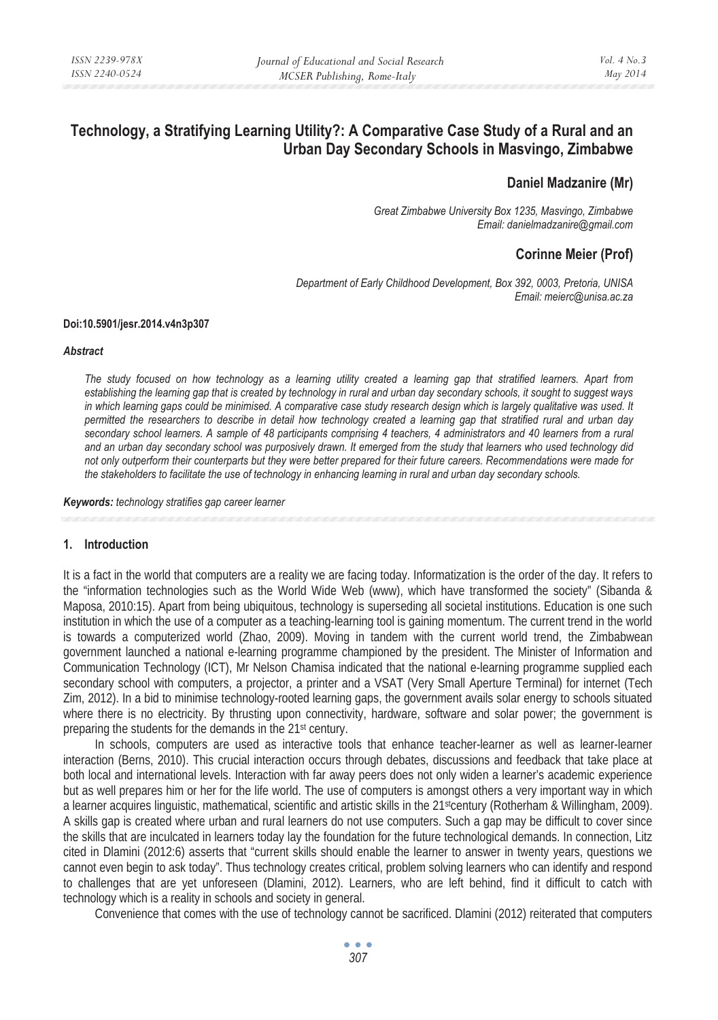# **Technology, a Stratifying Learning Utility?: A Comparative Case Study of a Rural and an Urban Day Secondary Schools in Masvingo, Zimbabwe**

### **Daniel Madzanire (Mr)**

*Great Zimbabwe University Box 1235, Masvingo, Zimbabwe Email: danielmadzanire@gmail.com* 

## **Corinne Meier (Prof)**

*Department of Early Childhood Development, Box 392, 0003, Pretoria, UNISA Email: meierc@unisa.ac.za* 

#### **Doi:10.5901/jesr.2014.v4n3p307**

#### *Abstract*

*The study focused on how technology as a learning utility created a learning gap that stratified learners. Apart from establishing the learning gap that is created by technology in rural and urban day secondary schools, it sought to suggest ways* in which learning gaps could be minimised. A comparative case study research design which is largely qualitative was used. It *permitted the researchers to describe in detail how technology created a learning gap that stratified rural and urban day secondary school learners. A sample of 48 participants comprising 4 teachers, 4 administrators and 40 learners from a rural and an urban day secondary school was purposively drawn. It emerged from the study that learners who used technology did not only outperform their counterparts but they were better prepared for their future careers. Recommendations were made for the stakeholders to facilitate the use of technology in enhancing learning in rural and urban day secondary schools.* 

*Keywords: technology stratifies gap career learner* 

#### **1. Introduction**

It is a fact in the world that computers are a reality we are facing today. Informatization is the order of the day. It refers to the "information technologies such as the World Wide Web (www), which have transformed the society" (Sibanda & Maposa, 2010:15). Apart from being ubiquitous, technology is superseding all societal institutions. Education is one such institution in which the use of a computer as a teaching-learning tool is gaining momentum. The current trend in the world is towards a computerized world (Zhao, 2009). Moving in tandem with the current world trend, the Zimbabwean government launched a national e-learning programme championed by the president. The Minister of Information and Communication Technology (ICT), Mr Nelson Chamisa indicated that the national e-learning programme supplied each secondary school with computers, a projector, a printer and a VSAT (Very Small Aperture Terminal) for internet (Tech Zim, 2012). In a bid to minimise technology-rooted learning gaps, the government avails solar energy to schools situated where there is no electricity. By thrusting upon connectivity, hardware, software and solar power; the government is preparing the students for the demands in the 21st century.

In schools, computers are used as interactive tools that enhance teacher-learner as well as learner-learner interaction (Berns, 2010). This crucial interaction occurs through debates, discussions and feedback that take place at both local and international levels. Interaction with far away peers does not only widen a learner's academic experience but as well prepares him or her for the life world. The use of computers is amongst others a very important way in which a learner acquires linguistic, mathematical, scientific and artistic skills in the 21<sup>st</sup>century (Rotherham & Willingham, 2009). A skills gap is created where urban and rural learners do not use computers. Such a gap may be difficult to cover since the skills that are inculcated in learners today lay the foundation for the future technological demands. In connection, Litz cited in Dlamini (2012:6) asserts that "current skills should enable the learner to answer in twenty years, questions we cannot even begin to ask today". Thus technology creates critical, problem solving learners who can identify and respond to challenges that are yet unforeseen (Dlamini, 2012). Learners, who are left behind, find it difficult to catch with technology which is a reality in schools and society in general.

Convenience that comes with the use of technology cannot be sacrificed. Dlamini (2012) reiterated that computers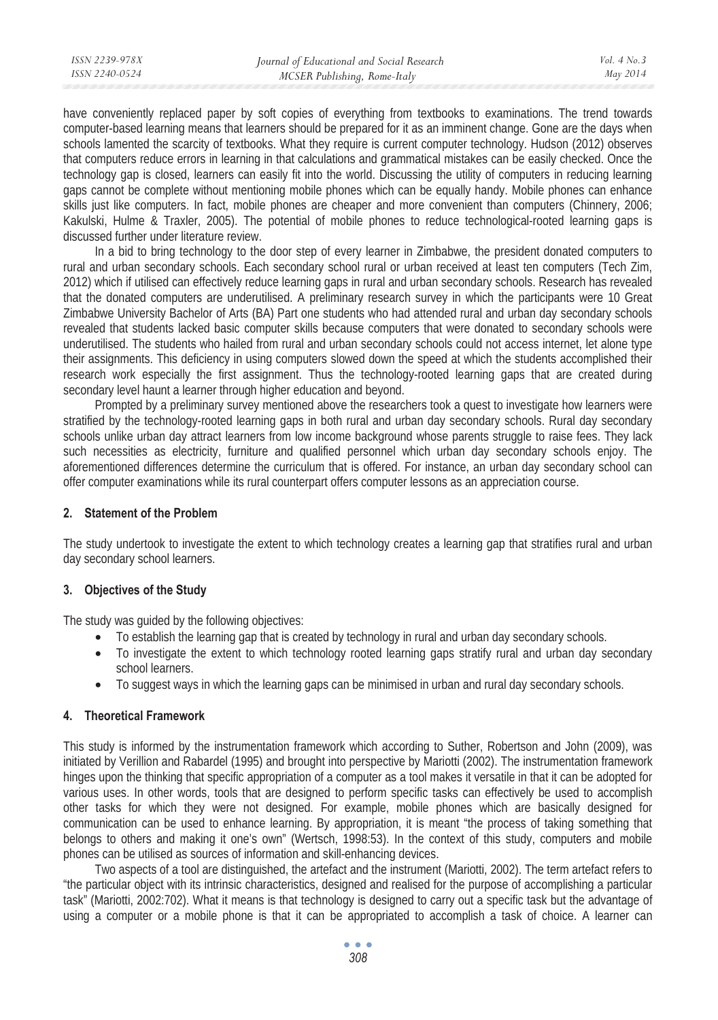have conveniently replaced paper by soft copies of everything from textbooks to examinations. The trend towards computer-based learning means that learners should be prepared for it as an imminent change. Gone are the days when schools lamented the scarcity of textbooks. What they require is current computer technology. Hudson (2012) observes that computers reduce errors in learning in that calculations and grammatical mistakes can be easily checked. Once the technology gap is closed, learners can easily fit into the world. Discussing the utility of computers in reducing learning gaps cannot be complete without mentioning mobile phones which can be equally handy. Mobile phones can enhance skills just like computers. In fact, mobile phones are cheaper and more convenient than computers (Chinnery, 2006; Kakulski, Hulme & Traxler, 2005). The potential of mobile phones to reduce technological-rooted learning gaps is discussed further under literature review.

In a bid to bring technology to the door step of every learner in Zimbabwe, the president donated computers to rural and urban secondary schools. Each secondary school rural or urban received at least ten computers (Tech Zim, 2012) which if utilised can effectively reduce learning gaps in rural and urban secondary schools. Research has revealed that the donated computers are underutilised. A preliminary research survey in which the participants were 10 Great Zimbabwe University Bachelor of Arts (BA) Part one students who had attended rural and urban day secondary schools revealed that students lacked basic computer skills because computers that were donated to secondary schools were underutilised. The students who hailed from rural and urban secondary schools could not access internet, let alone type their assignments. This deficiency in using computers slowed down the speed at which the students accomplished their research work especially the first assignment. Thus the technology-rooted learning gaps that are created during secondary level haunt a learner through higher education and beyond.

Prompted by a preliminary survey mentioned above the researchers took a quest to investigate how learners were stratified by the technology-rooted learning gaps in both rural and urban day secondary schools. Rural day secondary schools unlike urban day attract learners from low income background whose parents struggle to raise fees. They lack such necessities as electricity, furniture and qualified personnel which urban day secondary schools enjoy. The aforementioned differences determine the curriculum that is offered. For instance, an urban day secondary school can offer computer examinations while its rural counterpart offers computer lessons as an appreciation course.

### **2. Statement of the Problem**

The study undertook to investigate the extent to which technology creates a learning gap that stratifies rural and urban day secondary school learners.

#### **3. Objectives of the Study**

The study was guided by the following objectives:

- To establish the learning gap that is created by technology in rural and urban day secondary schools.
- To investigate the extent to which technology rooted learning gaps stratify rural and urban day secondary school learners.
- To suggest ways in which the learning gaps can be minimised in urban and rural day secondary schools.

### **4. Theoretical Framework**

This study is informed by the instrumentation framework which according to Suther, Robertson and John (2009), was initiated by Verillion and Rabardel (1995) and brought into perspective by Mariotti (2002). The instrumentation framework hinges upon the thinking that specific appropriation of a computer as a tool makes it versatile in that it can be adopted for various uses. In other words, tools that are designed to perform specific tasks can effectively be used to accomplish other tasks for which they were not designed. For example, mobile phones which are basically designed for communication can be used to enhance learning. By appropriation, it is meant "the process of taking something that belongs to others and making it one's own" (Wertsch, 1998:53). In the context of this study, computers and mobile phones can be utilised as sources of information and skill-enhancing devices.

Two aspects of a tool are distinguished, the artefact and the instrument (Mariotti, 2002). The term artefact refers to "the particular object with its intrinsic characteristics, designed and realised for the purpose of accomplishing a particular task" (Mariotti, 2002:702). What it means is that technology is designed to carry out a specific task but the advantage of using a computer or a mobile phone is that it can be appropriated to accomplish a task of choice. A learner can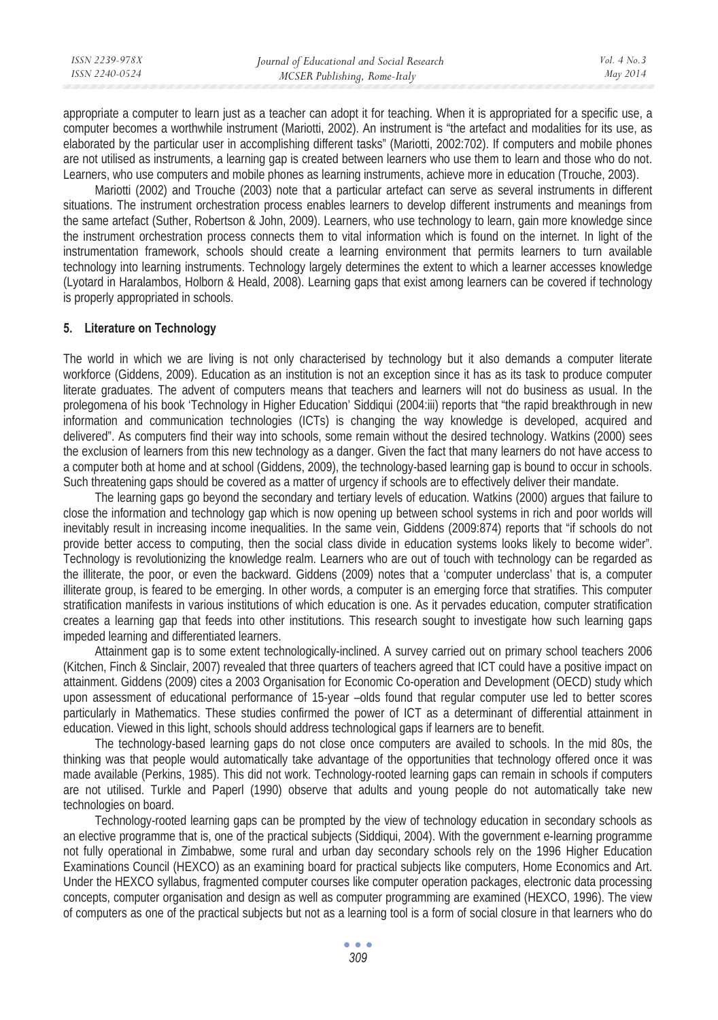| ISSN 2239-978X | Journal of Educational and Social Research | Vol. $4$ No. $3$ |
|----------------|--------------------------------------------|------------------|
| ISSN 2240-0524 | MCSER Publishing, Rome-Italy               | May 2014         |
|                |                                            |                  |

appropriate a computer to learn just as a teacher can adopt it for teaching. When it is appropriated for a specific use, a computer becomes a worthwhile instrument (Mariotti, 2002). An instrument is "the artefact and modalities for its use, as elaborated by the particular user in accomplishing different tasks" (Mariotti, 2002:702). If computers and mobile phones are not utilised as instruments, a learning gap is created between learners who use them to learn and those who do not. Learners, who use computers and mobile phones as learning instruments, achieve more in education (Trouche, 2003).

Mariotti (2002) and Trouche (2003) note that a particular artefact can serve as several instruments in different situations. The instrument orchestration process enables learners to develop different instruments and meanings from the same artefact (Suther, Robertson & John, 2009). Learners, who use technology to learn, gain more knowledge since the instrument orchestration process connects them to vital information which is found on the internet. In light of the instrumentation framework, schools should create a learning environment that permits learners to turn available technology into learning instruments. Technology largely determines the extent to which a learner accesses knowledge (Lyotard in Haralambos, Holborn & Heald, 2008). Learning gaps that exist among learners can be covered if technology is properly appropriated in schools.

#### **5. Literature on Technology**

The world in which we are living is not only characterised by technology but it also demands a computer literate workforce (Giddens, 2009). Education as an institution is not an exception since it has as its task to produce computer literate graduates. The advent of computers means that teachers and learners will not do business as usual. In the prolegomena of his book 'Technology in Higher Education' Siddiqui (2004:iii) reports that "the rapid breakthrough in new information and communication technologies (ICTs) is changing the way knowledge is developed, acquired and delivered". As computers find their way into schools, some remain without the desired technology. Watkins (2000) sees the exclusion of learners from this new technology as a danger. Given the fact that many learners do not have access to a computer both at home and at school (Giddens, 2009), the technology-based learning gap is bound to occur in schools. Such threatening gaps should be covered as a matter of urgency if schools are to effectively deliver their mandate.

The learning gaps go beyond the secondary and tertiary levels of education. Watkins (2000) argues that failure to close the information and technology gap which is now opening up between school systems in rich and poor worlds will inevitably result in increasing income inequalities. In the same vein, Giddens (2009:874) reports that "if schools do not provide better access to computing, then the social class divide in education systems looks likely to become wider". Technology is revolutionizing the knowledge realm. Learners who are out of touch with technology can be regarded as the illiterate, the poor, or even the backward. Giddens (2009) notes that a 'computer underclass' that is, a computer illiterate group, is feared to be emerging. In other words, a computer is an emerging force that stratifies. This computer stratification manifests in various institutions of which education is one. As it pervades education, computer stratification creates a learning gap that feeds into other institutions. This research sought to investigate how such learning gaps impeded learning and differentiated learners.

Attainment gap is to some extent technologically-inclined. A survey carried out on primary school teachers 2006 (Kitchen, Finch & Sinclair, 2007) revealed that three quarters of teachers agreed that ICT could have a positive impact on attainment. Giddens (2009) cites a 2003 Organisation for Economic Co-operation and Development (OECD) study which upon assessment of educational performance of 15-year –olds found that regular computer use led to better scores particularly in Mathematics. These studies confirmed the power of ICT as a determinant of differential attainment in education. Viewed in this light, schools should address technological gaps if learners are to benefit.

The technology-based learning gaps do not close once computers are availed to schools. In the mid 80s, the thinking was that people would automatically take advantage of the opportunities that technology offered once it was made available (Perkins, 1985). This did not work. Technology-rooted learning gaps can remain in schools if computers are not utilised. Turkle and Paperl (1990) observe that adults and young people do not automatically take new technologies on board.

Technology-rooted learning gaps can be prompted by the view of technology education in secondary schools as an elective programme that is, one of the practical subjects (Siddiqui, 2004). With the government e-learning programme not fully operational in Zimbabwe, some rural and urban day secondary schools rely on the 1996 Higher Education Examinations Council (HEXCO) as an examining board for practical subjects like computers, Home Economics and Art. Under the HEXCO syllabus, fragmented computer courses like computer operation packages, electronic data processing concepts, computer organisation and design as well as computer programming are examined (HEXCO, 1996). The view of computers as one of the practical subjects but not as a learning tool is a form of social closure in that learners who do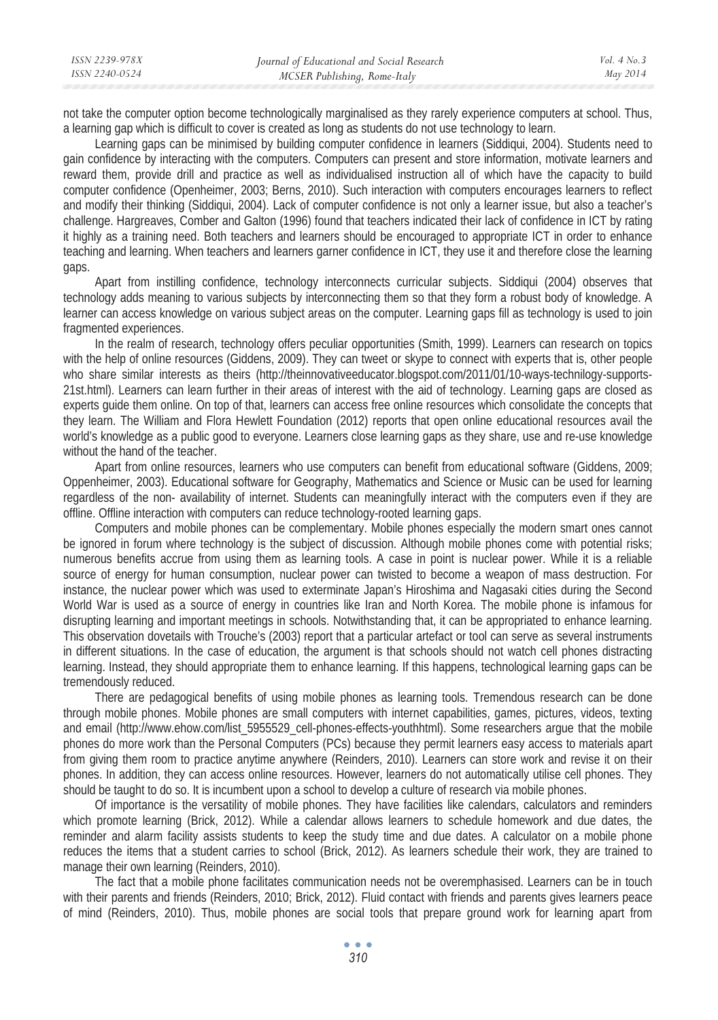| ISSN 2239-978X | Journal of Educational and Social Research | Vol. $4$ No. $3$ |
|----------------|--------------------------------------------|------------------|
| ISSN 2240-0524 | MCSER Publishing, Rome-Italy               | May 2014         |
|                |                                            |                  |

not take the computer option become technologically marginalised as they rarely experience computers at school. Thus, a learning gap which is difficult to cover is created as long as students do not use technology to learn.

Learning gaps can be minimised by building computer confidence in learners (Siddiqui, 2004). Students need to gain confidence by interacting with the computers. Computers can present and store information, motivate learners and reward them, provide drill and practice as well as individualised instruction all of which have the capacity to build computer confidence (Openheimer, 2003; Berns, 2010). Such interaction with computers encourages learners to reflect and modify their thinking (Siddiqui, 2004). Lack of computer confidence is not only a learner issue, but also a teacher's challenge. Hargreaves, Comber and Galton (1996) found that teachers indicated their lack of confidence in ICT by rating it highly as a training need. Both teachers and learners should be encouraged to appropriate ICT in order to enhance teaching and learning. When teachers and learners garner confidence in ICT, they use it and therefore close the learning gaps.

Apart from instilling confidence, technology interconnects curricular subjects. Siddiqui (2004) observes that technology adds meaning to various subjects by interconnecting them so that they form a robust body of knowledge. A learner can access knowledge on various subject areas on the computer. Learning gaps fill as technology is used to join fragmented experiences.

In the realm of research, technology offers peculiar opportunities (Smith, 1999). Learners can research on topics with the help of online resources (Giddens, 2009). They can tweet or skype to connect with experts that is, other people who share similar interests as theirs (http://theinnovativeeducator.blogspot.com/2011/01/10-ways-technilogy-supports-21st.html). Learners can learn further in their areas of interest with the aid of technology. Learning gaps are closed as experts guide them online. On top of that, learners can access free online resources which consolidate the concepts that they learn. The William and Flora Hewlett Foundation (2012) reports that open online educational resources avail the world's knowledge as a public good to everyone. Learners close learning gaps as they share, use and re-use knowledge without the hand of the teacher.

Apart from online resources, learners who use computers can benefit from educational software (Giddens, 2009; Oppenheimer, 2003). Educational software for Geography, Mathematics and Science or Music can be used for learning regardless of the non- availability of internet. Students can meaningfully interact with the computers even if they are offline. Offline interaction with computers can reduce technology-rooted learning gaps.

Computers and mobile phones can be complementary. Mobile phones especially the modern smart ones cannot be ignored in forum where technology is the subject of discussion. Although mobile phones come with potential risks; numerous benefits accrue from using them as learning tools. A case in point is nuclear power. While it is a reliable source of energy for human consumption, nuclear power can twisted to become a weapon of mass destruction. For instance, the nuclear power which was used to exterminate Japan's Hiroshima and Nagasaki cities during the Second World War is used as a source of energy in countries like Iran and North Korea. The mobile phone is infamous for disrupting learning and important meetings in schools. Notwithstanding that, it can be appropriated to enhance learning. This observation dovetails with Trouche's (2003) report that a particular artefact or tool can serve as several instruments in different situations. In the case of education, the argument is that schools should not watch cell phones distracting learning. Instead, they should appropriate them to enhance learning. If this happens, technological learning gaps can be tremendously reduced.

There are pedagogical benefits of using mobile phones as learning tools. Tremendous research can be done through mobile phones. Mobile phones are small computers with internet capabilities, games, pictures, videos, texting and email (http://www.ehow.com/list\_5955529\_cell-phones-effects-youthhtml). Some researchers argue that the mobile phones do more work than the Personal Computers (PCs) because they permit learners easy access to materials apart from giving them room to practice anytime anywhere (Reinders, 2010). Learners can store work and revise it on their phones. In addition, they can access online resources. However, learners do not automatically utilise cell phones. They should be taught to do so. It is incumbent upon a school to develop a culture of research via mobile phones.

Of importance is the versatility of mobile phones. They have facilities like calendars, calculators and reminders which promote learning (Brick, 2012). While a calendar allows learners to schedule homework and due dates, the reminder and alarm facility assists students to keep the study time and due dates. A calculator on a mobile phone reduces the items that a student carries to school (Brick, 2012). As learners schedule their work, they are trained to manage their own learning (Reinders, 2010).

The fact that a mobile phone facilitates communication needs not be overemphasised. Learners can be in touch with their parents and friends (Reinders, 2010; Brick, 2012). Fluid contact with friends and parents gives learners peace of mind (Reinders, 2010). Thus, mobile phones are social tools that prepare ground work for learning apart from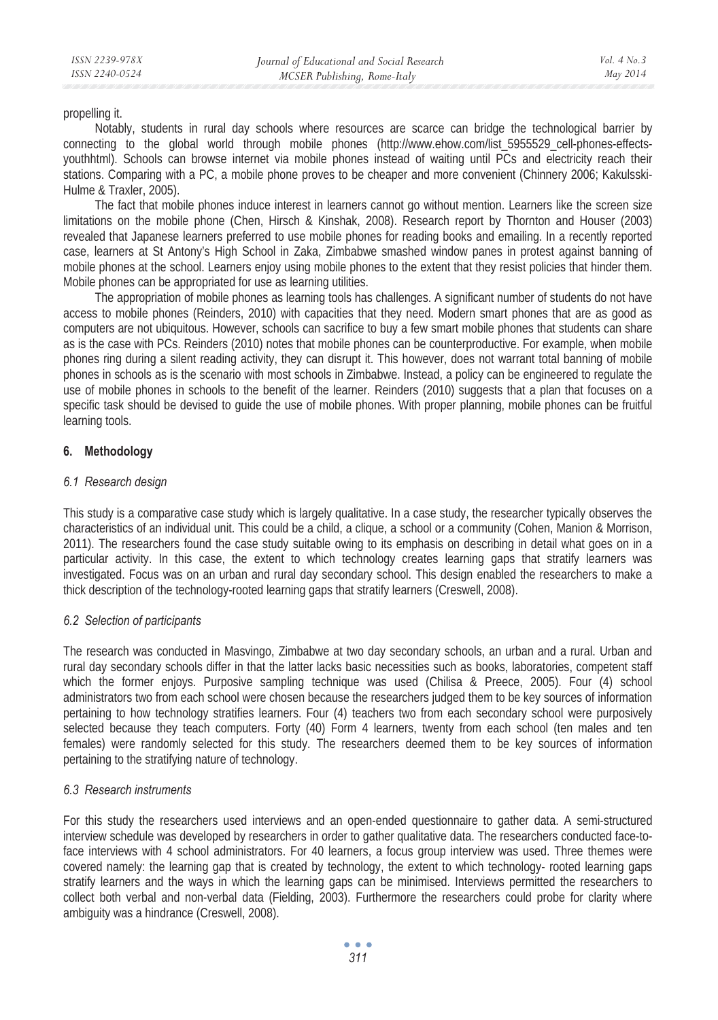propelling it.

Notably, students in rural day schools where resources are scarce can bridge the technological barrier by connecting to the global world through mobile phones (http://www.ehow.com/list\_5955529\_cell-phones-effectsyouthhtml). Schools can browse internet via mobile phones instead of waiting until PCs and electricity reach their stations. Comparing with a PC, a mobile phone proves to be cheaper and more convenient (Chinnery 2006; Kakulsski-Hulme & Traxler, 2005).

The fact that mobile phones induce interest in learners cannot go without mention. Learners like the screen size limitations on the mobile phone (Chen, Hirsch & Kinshak, 2008). Research report by Thornton and Houser (2003) revealed that Japanese learners preferred to use mobile phones for reading books and emailing. In a recently reported case, learners at St Antony's High School in Zaka, Zimbabwe smashed window panes in protest against banning of mobile phones at the school. Learners enjoy using mobile phones to the extent that they resist policies that hinder them. Mobile phones can be appropriated for use as learning utilities.

The appropriation of mobile phones as learning tools has challenges. A significant number of students do not have access to mobile phones (Reinders, 2010) with capacities that they need. Modern smart phones that are as good as computers are not ubiquitous. However, schools can sacrifice to buy a few smart mobile phones that students can share as is the case with PCs. Reinders (2010) notes that mobile phones can be counterproductive. For example, when mobile phones ring during a silent reading activity, they can disrupt it. This however, does not warrant total banning of mobile phones in schools as is the scenario with most schools in Zimbabwe. Instead, a policy can be engineered to regulate the use of mobile phones in schools to the benefit of the learner. Reinders (2010) suggests that a plan that focuses on a specific task should be devised to guide the use of mobile phones. With proper planning, mobile phones can be fruitful learning tools.

### **6. Methodology**

### *6.1 Research design*

This study is a comparative case study which is largely qualitative. In a case study, the researcher typically observes the characteristics of an individual unit. This could be a child, a clique, a school or a community (Cohen, Manion & Morrison, 2011). The researchers found the case study suitable owing to its emphasis on describing in detail what goes on in a particular activity. In this case, the extent to which technology creates learning gaps that stratify learners was investigated. Focus was on an urban and rural day secondary school. This design enabled the researchers to make a thick description of the technology-rooted learning gaps that stratify learners (Creswell, 2008).

### *6.2 Selection of participants*

The research was conducted in Masvingo, Zimbabwe at two day secondary schools, an urban and a rural. Urban and rural day secondary schools differ in that the latter lacks basic necessities such as books, laboratories, competent staff which the former enjoys. Purposive sampling technique was used (Chilisa & Preece, 2005). Four (4) school administrators two from each school were chosen because the researchers judged them to be key sources of information pertaining to how technology stratifies learners. Four (4) teachers two from each secondary school were purposively selected because they teach computers. Forty (40) Form 4 learners, twenty from each school (ten males and ten females) were randomly selected for this study. The researchers deemed them to be key sources of information pertaining to the stratifying nature of technology.

#### *6.3 Research instruments*

For this study the researchers used interviews and an open-ended questionnaire to gather data. A semi-structured interview schedule was developed by researchers in order to gather qualitative data. The researchers conducted face-toface interviews with 4 school administrators. For 40 learners, a focus group interview was used. Three themes were covered namely: the learning gap that is created by technology, the extent to which technology- rooted learning gaps stratify learners and the ways in which the learning gaps can be minimised. Interviews permitted the researchers to collect both verbal and non-verbal data (Fielding, 2003). Furthermore the researchers could probe for clarity where ambiguity was a hindrance (Creswell, 2008).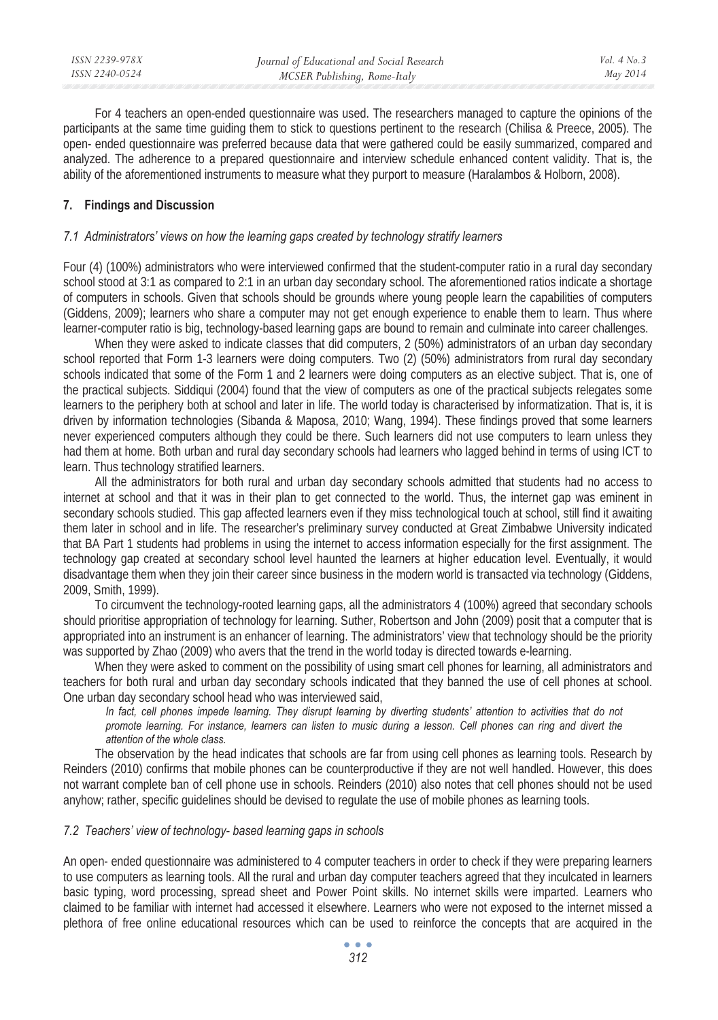For 4 teachers an open-ended questionnaire was used. The researchers managed to capture the opinions of the participants at the same time guiding them to stick to questions pertinent to the research (Chilisa & Preece, 2005). The open- ended questionnaire was preferred because data that were gathered could be easily summarized, compared and analyzed. The adherence to a prepared questionnaire and interview schedule enhanced content validity. That is, the ability of the aforementioned instruments to measure what they purport to measure (Haralambos & Holborn, 2008).

### **7. Findings and Discussion**

#### *7.1 Administrators' views on how the learning gaps created by technology stratify learners*

Four (4) (100%) administrators who were interviewed confirmed that the student-computer ratio in a rural day secondary school stood at 3:1 as compared to 2:1 in an urban day secondary school. The aforementioned ratios indicate a shortage of computers in schools. Given that schools should be grounds where young people learn the capabilities of computers (Giddens, 2009); learners who share a computer may not get enough experience to enable them to learn. Thus where learner-computer ratio is big, technology-based learning gaps are bound to remain and culminate into career challenges.

When they were asked to indicate classes that did computers, 2 (50%) administrators of an urban day secondary school reported that Form 1-3 learners were doing computers. Two (2) (50%) administrators from rural day secondary schools indicated that some of the Form 1 and 2 learners were doing computers as an elective subject. That is, one of the practical subjects. Siddiqui (2004) found that the view of computers as one of the practical subjects relegates some learners to the periphery both at school and later in life. The world today is characterised by informatization. That is, it is driven by information technologies (Sibanda & Maposa, 2010; Wang, 1994). These findings proved that some learners never experienced computers although they could be there. Such learners did not use computers to learn unless they had them at home. Both urban and rural day secondary schools had learners who lagged behind in terms of using ICT to learn. Thus technology stratified learners.

All the administrators for both rural and urban day secondary schools admitted that students had no access to internet at school and that it was in their plan to get connected to the world. Thus, the internet gap was eminent in secondary schools studied. This gap affected learners even if they miss technological touch at school, still find it awaiting them later in school and in life. The researcher's preliminary survey conducted at Great Zimbabwe University indicated that BA Part 1 students had problems in using the internet to access information especially for the first assignment. The technology gap created at secondary school level haunted the learners at higher education level. Eventually, it would disadvantage them when they join their career since business in the modern world is transacted via technology (Giddens, 2009, Smith, 1999).

To circumvent the technology-rooted learning gaps, all the administrators 4 (100%) agreed that secondary schools should prioritise appropriation of technology for learning. Suther, Robertson and John (2009) posit that a computer that is appropriated into an instrument is an enhancer of learning. The administrators' view that technology should be the priority was supported by Zhao (2009) who avers that the trend in the world today is directed towards e-learning.

When they were asked to comment on the possibility of using smart cell phones for learning, all administrators and teachers for both rural and urban day secondary schools indicated that they banned the use of cell phones at school. One urban day secondary school head who was interviewed said,

In fact, cell phones impede learning. They disrupt learning by diverting students' attention to activities that do not *promote learning. For instance, learners can listen to music during a lesson. Cell phones can ring and divert the attention of the whole class.* 

The observation by the head indicates that schools are far from using cell phones as learning tools. Research by Reinders (2010) confirms that mobile phones can be counterproductive if they are not well handled. However, this does not warrant complete ban of cell phone use in schools. Reinders (2010) also notes that cell phones should not be used anyhow; rather, specific guidelines should be devised to regulate the use of mobile phones as learning tools.

#### *7.2 Teachers' view of technology- based learning gaps in schools*

An open- ended questionnaire was administered to 4 computer teachers in order to check if they were preparing learners to use computers as learning tools. All the rural and urban day computer teachers agreed that they inculcated in learners basic typing, word processing, spread sheet and Power Point skills. No internet skills were imparted. Learners who claimed to be familiar with internet had accessed it elsewhere. Learners who were not exposed to the internet missed a plethora of free online educational resources which can be used to reinforce the concepts that are acquired in the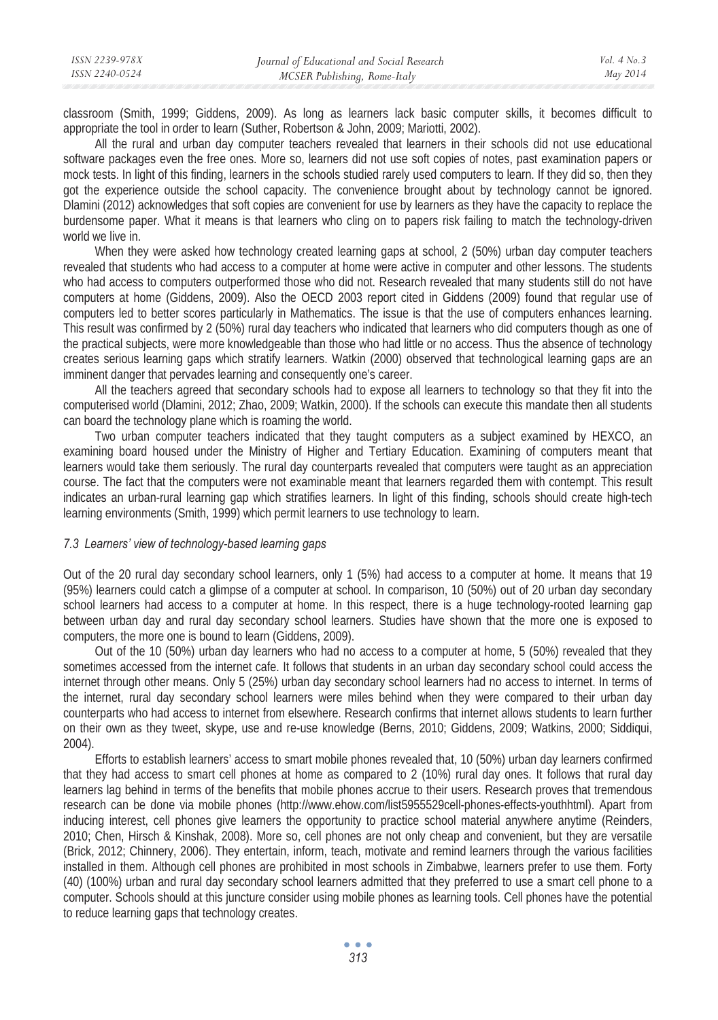classroom (Smith, 1999; Giddens, 2009). As long as learners lack basic computer skills, it becomes difficult to appropriate the tool in order to learn (Suther, Robertson & John, 2009; Mariotti, 2002).

All the rural and urban day computer teachers revealed that learners in their schools did not use educational software packages even the free ones. More so, learners did not use soft copies of notes, past examination papers or mock tests. In light of this finding, learners in the schools studied rarely used computers to learn. If they did so, then they got the experience outside the school capacity. The convenience brought about by technology cannot be ignored. Dlamini (2012) acknowledges that soft copies are convenient for use by learners as they have the capacity to replace the burdensome paper. What it means is that learners who cling on to papers risk failing to match the technology-driven world we live in.

When they were asked how technology created learning gaps at school, 2 (50%) urban day computer teachers revealed that students who had access to a computer at home were active in computer and other lessons. The students who had access to computers outperformed those who did not. Research revealed that many students still do not have computers at home (Giddens, 2009). Also the OECD 2003 report cited in Giddens (2009) found that regular use of computers led to better scores particularly in Mathematics. The issue is that the use of computers enhances learning. This result was confirmed by 2 (50%) rural day teachers who indicated that learners who did computers though as one of the practical subjects, were more knowledgeable than those who had little or no access. Thus the absence of technology creates serious learning gaps which stratify learners. Watkin (2000) observed that technological learning gaps are an imminent danger that pervades learning and consequently one's career.

All the teachers agreed that secondary schools had to expose all learners to technology so that they fit into the computerised world (Dlamini, 2012; Zhao, 2009; Watkin, 2000). If the schools can execute this mandate then all students can board the technology plane which is roaming the world.

Two urban computer teachers indicated that they taught computers as a subject examined by HEXCO, an examining board housed under the Ministry of Higher and Tertiary Education. Examining of computers meant that learners would take them seriously. The rural day counterparts revealed that computers were taught as an appreciation course. The fact that the computers were not examinable meant that learners regarded them with contempt. This result indicates an urban-rural learning gap which stratifies learners. In light of this finding, schools should create high-tech learning environments (Smith, 1999) which permit learners to use technology to learn.

#### *7.3 Learners' view of technology-based learning gaps*

Out of the 20 rural day secondary school learners, only 1 (5%) had access to a computer at home. It means that 19 (95%) learners could catch a glimpse of a computer at school. In comparison, 10 (50%) out of 20 urban day secondary school learners had access to a computer at home. In this respect, there is a huge technology-rooted learning gap between urban day and rural day secondary school learners. Studies have shown that the more one is exposed to computers, the more one is bound to learn (Giddens, 2009).

Out of the 10 (50%) urban day learners who had no access to a computer at home, 5 (50%) revealed that they sometimes accessed from the internet cafe. It follows that students in an urban day secondary school could access the internet through other means. Only 5 (25%) urban day secondary school learners had no access to internet. In terms of the internet, rural day secondary school learners were miles behind when they were compared to their urban day counterparts who had access to internet from elsewhere. Research confirms that internet allows students to learn further on their own as they tweet, skype, use and re-use knowledge (Berns, 2010; Giddens, 2009; Watkins, 2000; Siddiqui, 2004).

Efforts to establish learners' access to smart mobile phones revealed that, 10 (50%) urban day learners confirmed that they had access to smart cell phones at home as compared to 2 (10%) rural day ones. It follows that rural day learners lag behind in terms of the benefits that mobile phones accrue to their users. Research proves that tremendous research can be done via mobile phones (http://www.ehow.com/list5955529cell-phones-effects-youthhtml). Apart from inducing interest, cell phones give learners the opportunity to practice school material anywhere anytime (Reinders, 2010; Chen, Hirsch & Kinshak, 2008). More so, cell phones are not only cheap and convenient, but they are versatile (Brick, 2012; Chinnery, 2006). They entertain, inform, teach, motivate and remind learners through the various facilities installed in them. Although cell phones are prohibited in most schools in Zimbabwe, learners prefer to use them. Forty (40) (100%) urban and rural day secondary school learners admitted that they preferred to use a smart cell phone to a computer. Schools should at this juncture consider using mobile phones as learning tools. Cell phones have the potential to reduce learning gaps that technology creates.